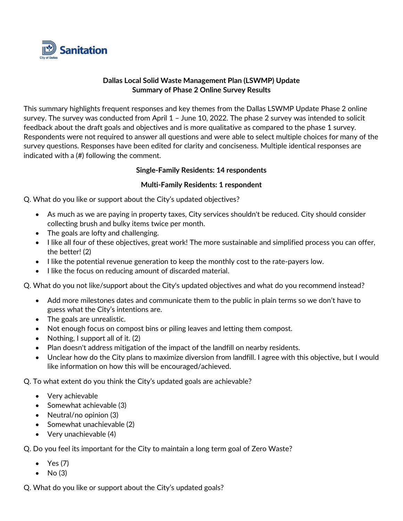

## **Dallas Local Solid Waste Management Plan (LSWMP) Update Summary of Phase 2 Online Survey Results**

This summary highlights frequent responses and key themes from the Dallas LSWMP Update Phase 2 online survey. The survey was conducted from April 1 – June 10, 2022. The phase 2 survey was intended to solicit feedback about the draft goals and objectives and is more qualitative as compared to the phase 1 survey. Respondents were not required to answer all questions and were able to select multiple choices for many of the survey questions. Responses have been edited for clarity and conciseness. Multiple identical responses are indicated with a (#) following the comment.

## **Single-Family Residents: 14 respondents**

## **Multi-Family Residents: 1 respondent**

Q. What do you like or support about the City's updated objectives?

- As much as we are paying in property taxes, City services shouldn't be reduced. City should consider collecting brush and bulky items twice per month.
- The goals are lofty and challenging.
- I like all four of these objectives, great work! The more sustainable and simplified process you can offer, the better! (2)
- I like the potential revenue generation to keep the monthly cost to the rate-payers low.
- I like the focus on reducing amount of discarded material.

Q. What do you not like/support about the City's updated objectives and what do you recommend instead?

- Add more milestones dates and communicate them to the public in plain terms so we don't have to guess what the City's intentions are.
- The goals are unrealistic.
- Not enough focus on compost bins or piling leaves and letting them compost.
- Nothing, I support all of it. (2)
- Plan doesn't address mitigation of the impact of the landfill on nearby residents.
- Unclear how do the City plans to maximize diversion from landfill. I agree with this objective, but I would like information on how this will be encouraged/achieved.

Q. To what extent do you think the City's updated goals are achievable?

- Very achievable
- Somewhat achievable (3)
- Neutral/no opinion (3)
- Somewhat unachievable (2)
- Very unachievable (4)

Q. Do you feel its important for the City to maintain a long term goal of Zero Waste?

- Yes (7)
- $No(3)$

Q. What do you like or support about the City's updated goals?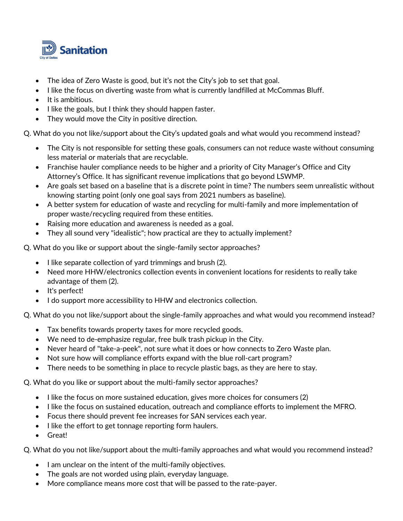

- The idea of Zero Waste is good, but it's not the City's job to set that goal.
- I like the focus on diverting waste from what is currently landfilled at McCommas Bluff.
- It is ambitious.
- I like the goals, but I think they should happen faster.
- They would move the City in positive direction.

Q. What do you not like/support about the City's updated goals and what would you recommend instead?

- The City is not responsible for setting these goals, consumers can not reduce waste without consuming less material or materials that are recyclable.
- Franchise hauler compliance needs to be higher and a priority of City Manager's Office and City Attorney's Office. It has significant revenue implications that go beyond LSWMP.
- Are goals set based on a baseline that is a discrete point in time? The numbers seem unrealistic without knowing starting point (only one goal says from 2021 numbers as baseline).
- A better system for education of waste and recycling for multi-family and more implementation of proper waste/recycling required from these entities.
- Raising more education and awareness is needed as a goal.
- They all sound very "idealistic"; how practical are they to actually implement?

Q. What do you like or support about the single-family sector approaches?

- I like separate collection of yard trimmings and brush (2).
- Need more HHW/electronics collection events in convenient locations for residents to really take advantage of them (2).
- It's perfect!
- I do support more accessibility to HHW and electronics collection.

Q. What do you not like/support about the single-family approaches and what would you recommend instead?

- Tax benefits towards property taxes for more recycled goods.
- We need to de-emphasize regular, free bulk trash pickup in the City.
- Never heard of "take-a-peek", not sure what it does or how connects to Zero Waste plan.
- Not sure how will compliance efforts expand with the blue roll-cart program?
- There needs to be something in place to recycle plastic bags, as they are here to stay.

Q. What do you like or support about the multi-family sector approaches?

- I like the focus on more sustained education, gives more choices for consumers (2)
- I like the focus on sustained education, outreach and compliance efforts to implement the MFRO.
- Focus there should prevent fee increases for SAN services each year.
- I like the effort to get tonnage reporting form haulers.
- Great!

Q. What do you not like/support about the multi-family approaches and what would you recommend instead?

- I am unclear on the intent of the multi-family objectives.
- The goals are not worded using plain, everyday language.
- More compliance means more cost that will be passed to the rate-payer.